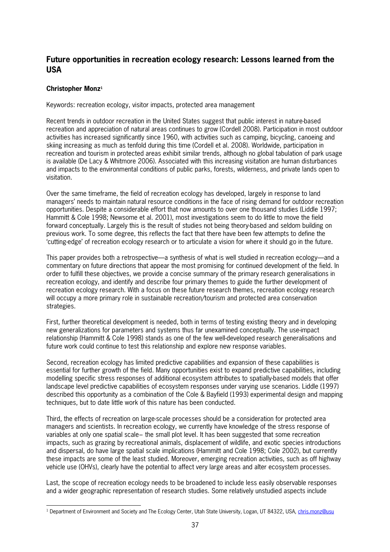## **Future opportunities in recreation ecology research: Lessons learned from the USA**

## **Christopher Monz<sup>1</sup>**

Keywords: recreation ecology, visitor impacts, protected area management

Recent trends in outdoor recreation in the United States suggest that public interest in naturebased recreation and appreciation of natural areas continues to grow (Cordell 2008). Participation in most outdoor activities has increased significantly since 1960, with activities such as camping, bicycling, canoeing and skiing increasing as much as tenfold during this time (Cordell et al. 2008). Worldwide, participation in recreation and tourism in protected areas exhibit similar trends, although no global tabulation of park usage is available (De Lacy & Whitmore 2006). Associated with this increasing visitation are human disturbances and impacts to the environmental conditions of public parks, forests, wilderness, and private lands open to visitation.

Over the same timeframe, the field of recreation ecology has developed, largely in response to land managers' needs to maintain natural resource conditions in the face of rising demand for outdoor recreation opportunities. Despite a considerable effort that now amounts to over one thousand studies (Liddle 1997; Hammitt & Cole 1998; Newsome et al. 2001), most investigations seem to do little to move the field forward conceptually. Largely this is the result of studies not being theorybased and seldom building on previous work. To some degree, this reflects the fact that there have been few attempts to define the 'cuttingedge' of recreation ecology research or to articulate a vision for where it should go in the future.

This paper provides both a retrospective—a synthesis of what is well studied in recreation ecology—and a commentary on future directions that appear the most promising for continued development of the field. In order to fulfill these objectives, we provide a concise summary of the primary research generalisations in recreation ecology, and identify and describe four primary themes to guide the further development of recreation ecology research. With a focus on these future research themes, recreation ecology research will occupy a more primary role in sustainable recreation/tourism and protected area conservation strategies.

First, further theoretical development is needed, both in terms of testing existing theory and in developing new generalizations for parameters and systems thus far unexamined conceptually. The useimpact relationship (Hammitt & Cole 1998) stands as one of the few well-developed research generalisations and future work could continue to test this relationship and explore new response variables.

Second, recreation ecology has limited predictive capabilities and expansion of these capabilities is essential for further growth of the field. Many opportunities exist to expand predictive capabilities, including modelling specific stress responses of additional ecosystem attributes to spatiallybased models that offer landscape level predictive capabilities of ecosystem responses under varying use scenarios. Liddle (1997) described this opportunity as a combination of the Cole & Bayfield (1993) experimental design and mapping techniques, but to date little work of this nature has been conducted.

Third, the effects of recreation on large-scale processes should be a consideration for protected area managers and scientists. In recreation ecology, we currently have knowledge of the stress response of variables at only one spatial scale− the small plot level. It has been suggested that some recreation impacts, such as grazing by recreational animals, displacement of wildlife, and exotic species introductions and dispersal, do have large spatial scale implications (Hammitt and Cole 1998; Cole 2002), but currently these impacts are some of the least studied. Moreover, emerging recreation activities, such as off highway vehicle use (OHVs), clearly have the potential to affect very large areas and alter ecosystem processes.

Last, the scope of recreation ecology needs to be broadened to include less easily observable responses and a wider geographic representation of research studies. Some relatively unstudied aspects include

l <sup>1</sup> Department of Environment and Society and The Ecology Center, Utah State University, Logan, UT 84322, USA, chris.monz@usu